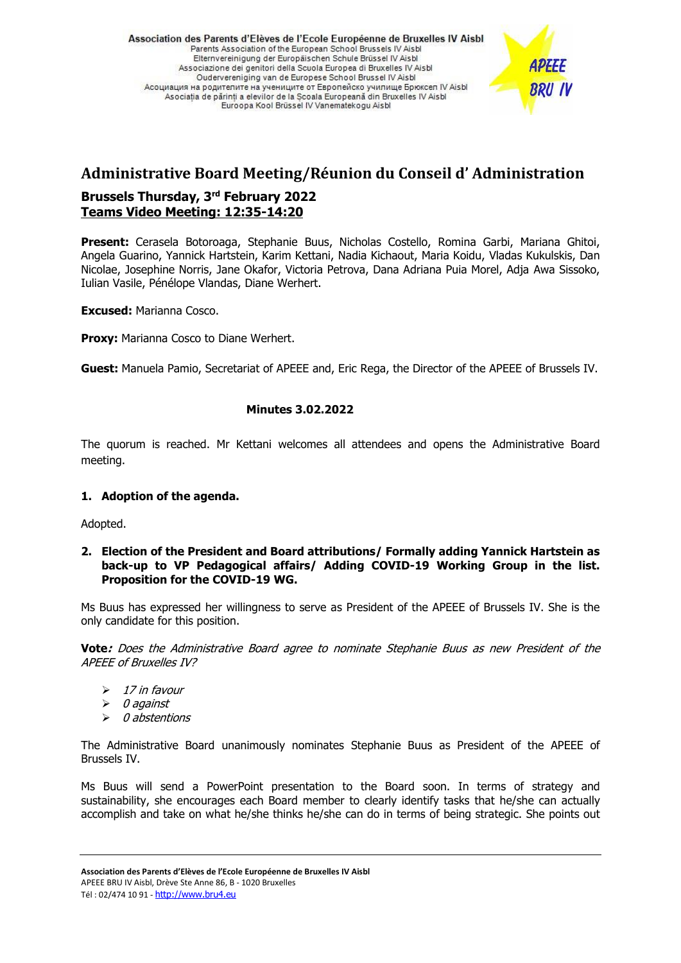Association des Parents d'Elèves de l'Ecole Européenne de Bruxelles IV Aisbl Parents Association of the European School Brussels IV Aisbi Elternvereinigung der Europäischen Schule Brüssel IV Aisbl Associazione dei genitori della Scuola Europea di Bruxelles IV Aisbl Oudervereniging van de Europese School Brussel IV Aisbl Асоциация на родителите на учениците от Европейско училище Брюксел IV Aisbl Asociatia de părinti a elevilor de la Scoala Europeană din Bruxelles IV Aisbl Euroopa Kool Brüssel IV Vanematekogu Aisbl

# **BRU IV**

# **Administrative Board Meeting/Réunion du Conseil d' Administration Brussels Thursday, 3 rd February 2022**

# **Teams Video Meeting: 12:35-14:20**

**Present:** Cerasela Botoroaga, Stephanie Buus, Nicholas Costello, Romina Garbi, Mariana Ghitoi, Angela Guarino, Yannick Hartstein, Karim Kettani, Nadia Kichaout, Maria Koidu, Vladas Kukulskis, Dan Nicolae, Josephine Norris, Jane Okafor, Victoria Petrova, Dana Adriana Puia Morel, Adja Awa Sissoko, Iulian Vasile, Pénélope Vlandas, Diane Werhert.

**Excused:** Marianna Cosco.

**Proxy: Marianna Cosco to Diane Werhert.** 

**Guest:** Manuela Pamio, Secretariat of APEEE and, Eric Rega, the Director of the APEEE of Brussels IV.

# **Minutes 3.02.2022**

The quorum is reached. Mr Kettani welcomes all attendees and opens the Administrative Board meeting.

# **1. Adoption of the agenda.**

Adopted.

#### **2. Election of the President and Board attributions/ Formally adding Yannick Hartstein as back-up to VP Pedagogical affairs/ Adding COVID-19 Working Group in the list. Proposition for the COVID-19 WG.**

Ms Buus has expressed her willingness to serve as President of the APEEE of Brussels IV. She is the only candidate for this position.

**Vote:** Does the Administrative Board agree to nominate Stephanie Buus as new President of the APEEE of Bruxelles IV?

- $\triangleright$  17 in favour
- ➢ 0 against
- ➢ 0 abstentions

The Administrative Board unanimously nominates Stephanie Buus as President of the APEEE of Brussels IV.

Ms Buus will send a PowerPoint presentation to the Board soon. In terms of strategy and sustainability, she encourages each Board member to clearly identify tasks that he/she can actually accomplish and take on what he/she thinks he/she can do in terms of being strategic. She points out

**Association des Parents d'Elèves de l'Ecole Européenne de Bruxelles IV Aisbl**

APEEE BRU IV Aisbl, Drève Ste Anne 86, B - 1020 Bruxelles

Tél: 02/474 10 91 - [http://www.bru4.eu](http://www.bru4.eu/)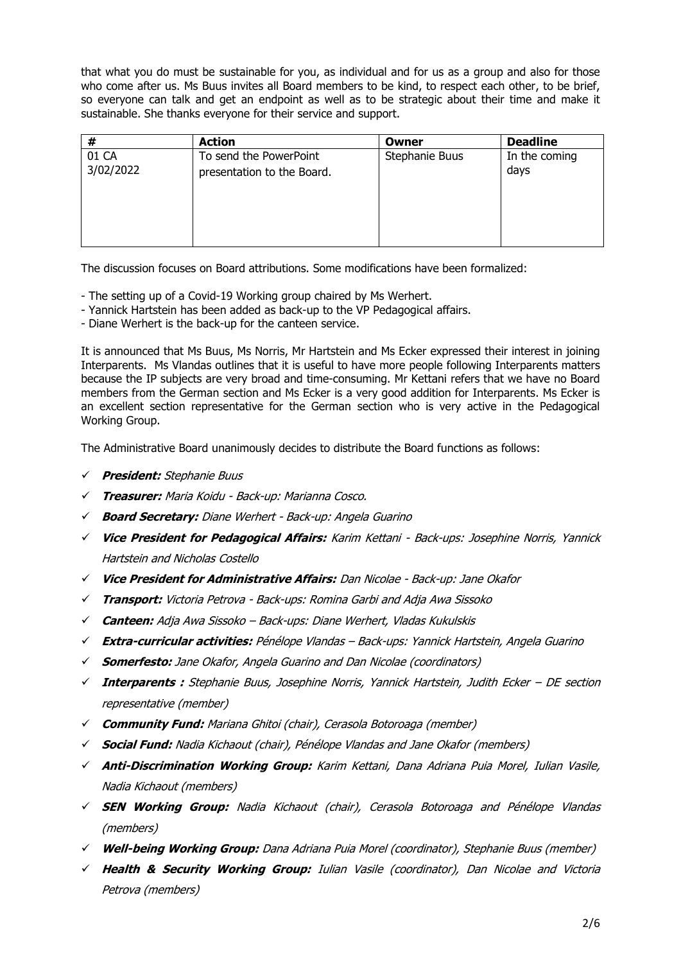that what you do must be sustainable for you, as individual and for us as a group and also for those who come after us. Ms Buus invites all Board members to be kind, to respect each other, to be brief, so everyone can talk and get an endpoint as well as to be strategic about their time and make it sustainable. She thanks everyone for their service and support.

|           | <b>Action</b>              | Owner          | <b>Deadline</b> |
|-----------|----------------------------|----------------|-----------------|
| 01 CA     | To send the PowerPoint     | Stephanie Buus | In the coming   |
| 3/02/2022 | presentation to the Board. |                | days            |

The discussion focuses on Board attributions. Some modifications have been formalized:

- The setting up of a Covid-19 Working group chaired by Ms Werhert.
- Yannick Hartstein has been added as back-up to the VP Pedagogical affairs.
- Diane Werhert is the back-up for the canteen service.

It is announced that Ms Buus, Ms Norris, Mr Hartstein and Ms Ecker expressed their interest in joining Interparents. Ms Vlandas outlines that it is useful to have more people following Interparents matters because the IP subjects are very broad and time-consuming. Mr Kettani refers that we have no Board members from the German section and Ms Ecker is a very good addition for Interparents. Ms Ecker is an excellent section representative for the German section who is very active in the Pedagogical Working Group.

The Administrative Board unanimously decides to distribute the Board functions as follows:

- ✓ **President:** Stephanie Buus
- ✓ **Treasurer:** Maria Koidu Back-up: Marianna Cosco.
- ✓ **Board Secretary:** Diane Werhert Back-up: Angela Guarino
- ✓ **Vice President for Pedagogical Affairs:** Karim Kettani Back-ups: Josephine Norris, Yannick Hartstein and Nicholas Costello
- ✓ **Vice President for Administrative Affairs:** Dan Nicolae Back-up: Jane Okafor
- ✓ **Transport:** Victoria Petrova Back-ups: Romina Garbi and Adja Awa Sissoko
- ✓ **Canteen:** Adja Awa Sissoko Back-ups: Diane Werhert, Vladas Kukulskis
- ✓ **Extra-curricular activities:** Pénélope Vlandas Back-ups: Yannick Hartstein, Angela Guarino
- ✓ **Somerfesto:** Jane Okafor, Angela Guarino and Dan Nicolae (coordinators)
- ✓ **Interparents :** Stephanie Buus, Josephine Norris, Yannick Hartstein, Judith Ecker DE section representative (member)
- ✓ **Community Fund:** Mariana Ghitoi (chair), Cerasola Botoroaga (member)
- ✓ **Social Fund:** Nadia Kichaout (chair), Pénélope Vlandas and Jane Okafor (members)
- ✓ **Anti-Discrimination Working Group:** Karim Kettani, Dana Adriana Puia Morel, Iulian Vasile, Nadia Kichaout (members)
- ✓ **SEN Working Group:** Nadia Kichaout (chair), Cerasola Botoroaga and Pénélope Vlandas (members)
- ✓ **Well-being Working Group:** Dana Adriana Puia Morel (coordinator), Stephanie Buus (member)
- ✓ **Health & Security Working Group:** Iulian Vasile (coordinator), Dan Nicolae and Victoria Petrova (members)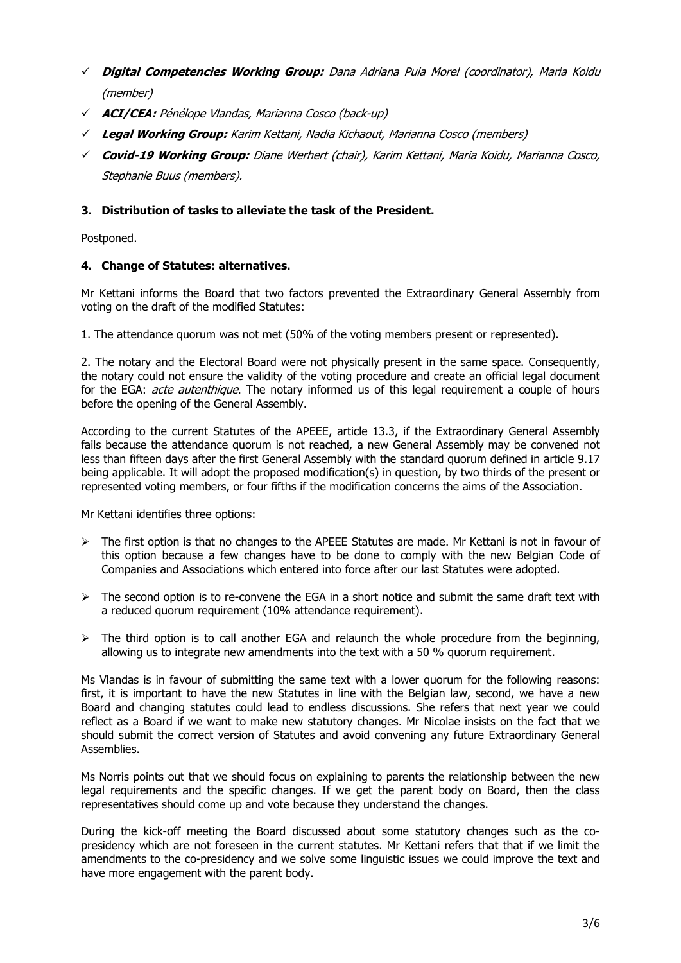- ✓ **Digital Competencies Working Group:** Dana Adriana Puia Morel (coordinator), Maria Koidu (member)
- ✓ **ACI/CEA:** Pénélope Vlandas, Marianna Cosco (back-up)
- ✓ **Legal Working Group:** Karim Kettani, Nadia Kichaout, Marianna Cosco (members)
- ✓ **Covid-19 Working Group:** Diane Werhert (chair), Karim Kettani, Maria Koidu, Marianna Cosco, Stephanie Buus (members).

# **3. Distribution of tasks to alleviate the task of the President.**

Postponed.

#### **4. Change of Statutes: alternatives.**

Mr Kettani informs the Board that two factors prevented the Extraordinary General Assembly from voting on the draft of the modified Statutes:

1. The attendance quorum was not met (50% of the voting members present or represented).

2. The notary and the Electoral Board were not physically present in the same space. Consequently, the notary could not ensure the validity of the voting procedure and create an official legal document for the EGA: *acte autenthique*. The notary informed us of this legal requirement a couple of hours before the opening of the General Assembly.

According to the current Statutes of the APEEE, article 13.3, if the Extraordinary General Assembly fails because the attendance quorum is not reached, a new General Assembly may be convened not less than fifteen days after the first General Assembly with the standard quorum defined in article 9.17 being applicable. It will adopt the proposed modification(s) in question, by two thirds of the present or represented voting members, or four fifths if the modification concerns the aims of the Association.

Mr Kettani identifies three options:

- $\triangleright$  The first option is that no changes to the APEEE Statutes are made. Mr Kettani is not in favour of this option because a few changes have to be done to comply with the new Belgian Code of Companies and Associations which entered into force after our last Statutes were adopted.
- $\triangleright$  The second option is to re-convene the EGA in a short notice and submit the same draft text with a reduced quorum requirement (10% attendance requirement).
- $\triangleright$  The third option is to call another EGA and relaunch the whole procedure from the beginning, allowing us to integrate new amendments into the text with a 50 % quorum requirement.

Ms Vlandas is in favour of submitting the same text with a lower quorum for the following reasons: first, it is important to have the new Statutes in line with the Belgian law, second, we have a new Board and changing statutes could lead to endless discussions. She refers that next year we could reflect as a Board if we want to make new statutory changes. Mr Nicolae insists on the fact that we should submit the correct version of Statutes and avoid convening any future Extraordinary General Assemblies.

Ms Norris points out that we should focus on explaining to parents the relationship between the new legal requirements and the specific changes. If we get the parent body on Board, then the class representatives should come up and vote because they understand the changes.

During the kick-off meeting the Board discussed about some statutory changes such as the copresidency which are not foreseen in the current statutes. Mr Kettani refers that that if we limit the amendments to the co-presidency and we solve some linguistic issues we could improve the text and have more engagement with the parent body.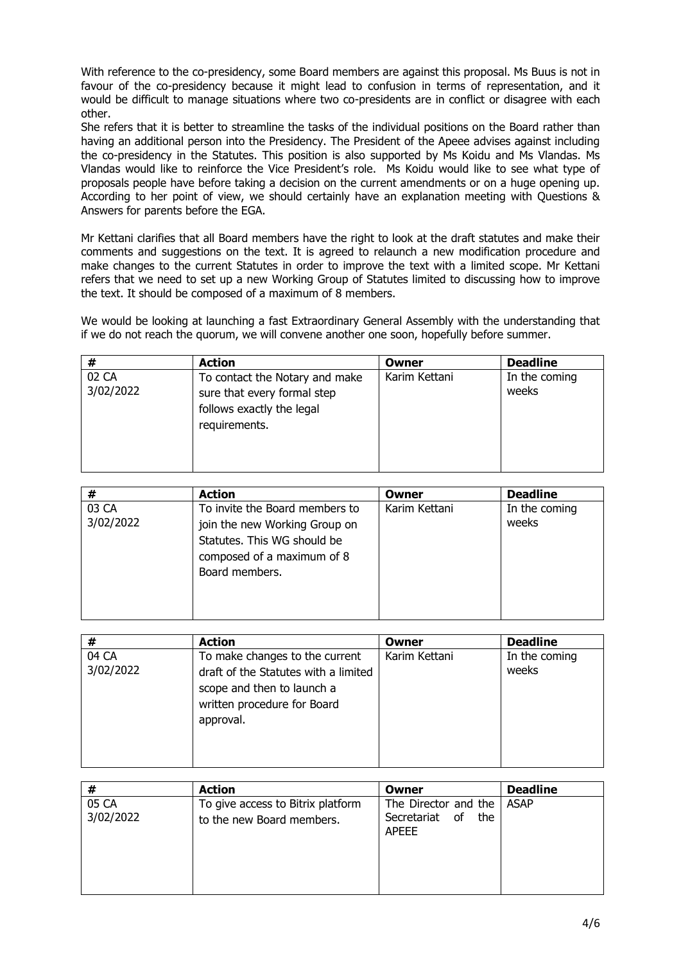With reference to the co-presidency, some Board members are against this proposal. Ms Buus is not in favour of the co-presidency because it might lead to confusion in terms of representation, and it would be difficult to manage situations where two co-presidents are in conflict or disagree with each other.

She refers that it is better to streamline the tasks of the individual positions on the Board rather than having an additional person into the Presidency. The President of the Apeee advises against including the co-presidency in the Statutes. This position is also supported by Ms Koidu and Ms Vlandas. Ms Vlandas would like to reinforce the Vice President's role. Ms Koidu would like to see what type of proposals people have before taking a decision on the current amendments or on a huge opening up. According to her point of view, we should certainly have an explanation meeting with Questions & Answers for parents before the EGA.

Mr Kettani clarifies that all Board members have the right to look at the draft statutes and make their comments and suggestions on the text. It is agreed to relaunch a new modification procedure and make changes to the current Statutes in order to improve the text with a limited scope. Mr Kettani refers that we need to set up a new Working Group of Statutes limited to discussing how to improve the text. It should be composed of a maximum of 8 members.

We would be looking at launching a fast Extraordinary General Assembly with the understanding that if we do not reach the quorum, we will convene another one soon, hopefully before summer.

| #                  | <b>Action</b>                                                                                               | Owner         | <b>Deadline</b>        |
|--------------------|-------------------------------------------------------------------------------------------------------------|---------------|------------------------|
| 02 CA<br>3/02/2022 | To contact the Notary and make<br>sure that every formal step<br>follows exactly the legal<br>requirements. | Karim Kettani | In the coming<br>weeks |

| #                  | <b>Action</b>                                                                                                                                  | Owner         | <b>Deadline</b>        |
|--------------------|------------------------------------------------------------------------------------------------------------------------------------------------|---------------|------------------------|
| 03 CA<br>3/02/2022 | To invite the Board members to<br>join the new Working Group on<br>Statutes. This WG should be<br>composed of a maximum of 8<br>Board members. | Karim Kettani | In the coming<br>weeks |

| #                  | <b>Action</b>                                                                                                                                    | Owner         | <b>Deadline</b>        |
|--------------------|--------------------------------------------------------------------------------------------------------------------------------------------------|---------------|------------------------|
| 04 CA<br>3/02/2022 | To make changes to the current<br>draft of the Statutes with a limited<br>scope and then to launch a<br>written procedure for Board<br>approval. | Karim Kettani | In the coming<br>weeks |

| #                  | <b>Action</b>                                                  | Owner                                                                   | <b>Deadline</b> |
|--------------------|----------------------------------------------------------------|-------------------------------------------------------------------------|-----------------|
| 05 CA<br>3/02/2022 | To give access to Bitrix platform<br>to the new Board members. | The Director and the   ASAP<br>Secretariat<br>of<br>the<br><b>APEEE</b> |                 |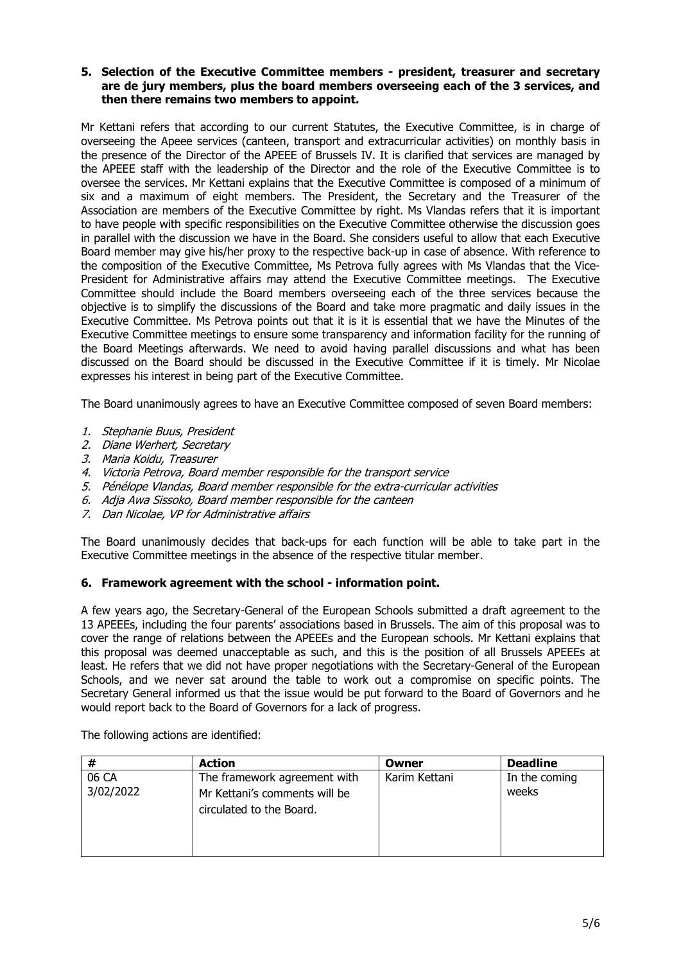#### **5. Selection of the Executive Committee members - president, treasurer and secretary are de jury members, plus the board members overseeing each of the 3 services, and then there remains two members to appoint.**

Mr Kettani refers that according to our current Statutes, the Executive Committee, is in charge of overseeing the Apeee services (canteen, transport and extracurricular activities) on monthly basis in the presence of the Director of the APEEE of Brussels IV. It is clarified that services are managed by the APEEE staff with the leadership of the Director and the role of the Executive Committee is to oversee the services. Mr Kettani explains that the Executive Committee is composed of a minimum of six and a maximum of eight members. The President, the Secretary and the Treasurer of the Association are members of the Executive Committee by right. Ms Vlandas refers that it is important to have people with specific responsibilities on the Executive Committee otherwise the discussion goes in parallel with the discussion we have in the Board. She considers useful to allow that each Executive Board member may give his/her proxy to the respective back-up in case of absence. With reference to the composition of the Executive Committee, Ms Petrova fully agrees with Ms Vlandas that the Vice-President for Administrative affairs may attend the Executive Committee meetings. The Executive Committee should include the Board members overseeing each of the three services because the objective is to simplify the discussions of the Board and take more pragmatic and daily issues in the Executive Committee. Ms Petrova points out that it is it is essential that we have the Minutes of the Executive Committee meetings to ensure some transparency and information facility for the running of the Board Meetings afterwards. We need to avoid having parallel discussions and what has been discussed on the Board should be discussed in the Executive Committee if it is timely. Mr Nicolae expresses his interest in being part of the Executive Committee.

The Board unanimously agrees to have an Executive Committee composed of seven Board members:

- 1. Stephanie Buus, President
- 2. Diane Werhert, Secretary
- 3. Maria Koidu, Treasurer
- 4. Victoria Petrova, Board member responsible for the transport service
- 5. Pénélope Vlandas, Board member responsible for the extra-curricular activities
- 6. Adja Awa Sissoko, Board member responsible for the canteen
- 7. Dan Nicolae, VP for Administrative affairs

The Board unanimously decides that back-ups for each function will be able to take part in the Executive Committee meetings in the absence of the respective titular member.

#### **6. Framework agreement with the school - information point.**

A few years ago, the Secretary-General of the European Schools submitted a draft agreement to the 13 APEEEs, including the four parents' associations based in Brussels. The aim of this proposal was to cover the range of relations between the APEEEs and the European schools. Mr Kettani explains that this proposal was deemed unacceptable as such, and this is the position of all Brussels APEEEs at least. He refers that we did not have proper negotiations with the Secretary-General of the European Schools, and we never sat around the table to work out a compromise on specific points. The Secretary General informed us that the issue would be put forward to the Board of Governors and he would report back to the Board of Governors for a lack of progress.

The following actions are identified:

|                    | <b>Action</b>                                                                             | Owner         | <b>Deadline</b>        |
|--------------------|-------------------------------------------------------------------------------------------|---------------|------------------------|
| 06 CA<br>3/02/2022 | The framework agreement with<br>Mr Kettani's comments will be<br>circulated to the Board. | Karim Kettani | In the coming<br>weeks |